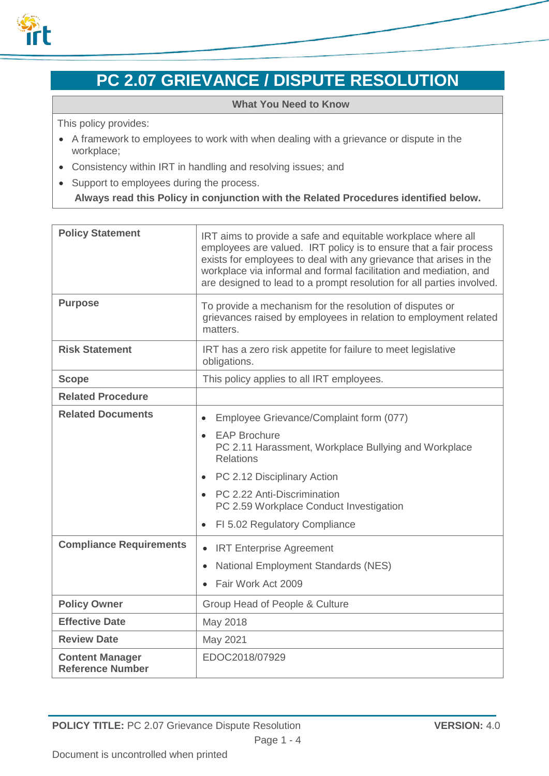

# **PC 2.07 GRIEVANCE / DISPUTE RESOLUTION**

#### **What You Need to Know**

This policy provides:

- A framework to employees to work with when dealing with a grievance or dispute in the workplace;
- Consistency within IRT in handling and resolving issues; and
- Support to employees during the process.

**Always read this Policy in conjunction with the Related Procedures identified below.**

| <b>Policy Statement</b>                           | IRT aims to provide a safe and equitable workplace where all<br>employees are valued. IRT policy is to ensure that a fair process<br>exists for employees to deal with any grievance that arises in the<br>workplace via informal and formal facilitation and mediation, and<br>are designed to lead to a prompt resolution for all parties involved. |
|---------------------------------------------------|-------------------------------------------------------------------------------------------------------------------------------------------------------------------------------------------------------------------------------------------------------------------------------------------------------------------------------------------------------|
| <b>Purpose</b>                                    | To provide a mechanism for the resolution of disputes or<br>grievances raised by employees in relation to employment related<br>matters.                                                                                                                                                                                                              |
| <b>Risk Statement</b>                             | IRT has a zero risk appetite for failure to meet legislative<br>obligations.                                                                                                                                                                                                                                                                          |
| <b>Scope</b>                                      | This policy applies to all IRT employees.                                                                                                                                                                                                                                                                                                             |
| <b>Related Procedure</b>                          |                                                                                                                                                                                                                                                                                                                                                       |
| <b>Related Documents</b>                          | Employee Grievance/Complaint form (077)                                                                                                                                                                                                                                                                                                               |
|                                                   | <b>EAP Brochure</b><br>PC 2.11 Harassment, Workplace Bullying and Workplace<br><b>Relations</b>                                                                                                                                                                                                                                                       |
|                                                   | PC 2.12 Disciplinary Action<br>$\bullet$                                                                                                                                                                                                                                                                                                              |
|                                                   | PC 2.22 Anti-Discrimination<br>$\bullet$<br>PC 2.59 Workplace Conduct Investigation                                                                                                                                                                                                                                                                   |
|                                                   | FI 5.02 Regulatory Compliance                                                                                                                                                                                                                                                                                                                         |
| <b>Compliance Requirements</b>                    | <b>IRT Enterprise Agreement</b><br>$\bullet$                                                                                                                                                                                                                                                                                                          |
|                                                   | <b>National Employment Standards (NES)</b><br>$\bullet$                                                                                                                                                                                                                                                                                               |
|                                                   | Fair Work Act 2009<br>$\bullet$                                                                                                                                                                                                                                                                                                                       |
| <b>Policy Owner</b>                               | Group Head of People & Culture                                                                                                                                                                                                                                                                                                                        |
| <b>Effective Date</b>                             | May 2018                                                                                                                                                                                                                                                                                                                                              |
| <b>Review Date</b>                                | May 2021                                                                                                                                                                                                                                                                                                                                              |
| <b>Content Manager</b><br><b>Reference Number</b> | EDOC2018/07929                                                                                                                                                                                                                                                                                                                                        |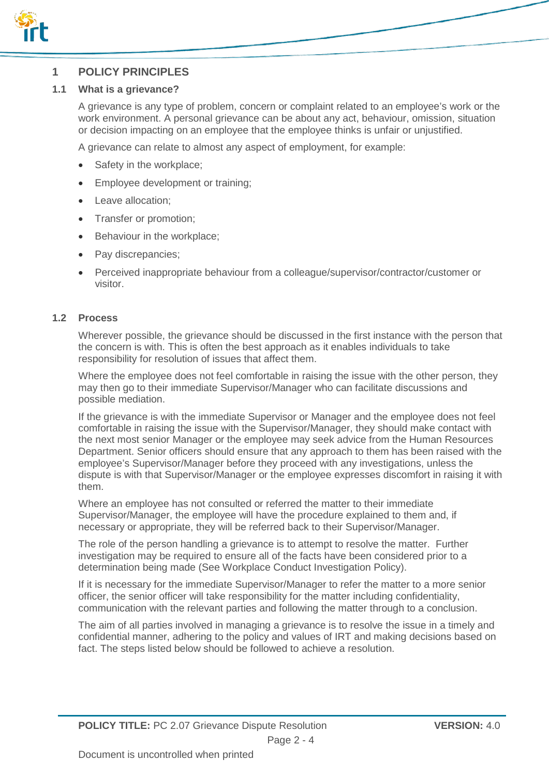

## **1 POLICY PRINCIPLES**

### **1.1 What is a grievance?**

A grievance is any type of problem, concern or complaint related to an employee's work or the work environment. A personal grievance can be about any act, behaviour, omission, situation or decision impacting on an employee that the employee thinks is unfair or unjustified.

A grievance can relate to almost any aspect of employment, for example:

- Safety in the workplace;
- Employee development or training;
- Leave allocation;
- Transfer or promotion;
- Behaviour in the workplace;
- Pay discrepancies:
- Perceived inappropriate behaviour from a colleague/supervisor/contractor/customer or visitor.

#### **1.2 Process**

Wherever possible, the grievance should be discussed in the first instance with the person that the concern is with. This is often the best approach as it enables individuals to take responsibility for resolution of issues that affect them.

Where the employee does not feel comfortable in raising the issue with the other person, they may then go to their immediate Supervisor/Manager who can facilitate discussions and possible mediation.

If the grievance is with the immediate Supervisor or Manager and the employee does not feel comfortable in raising the issue with the Supervisor/Manager, they should make contact with the next most senior Manager or the employee may seek advice from the Human Resources Department. Senior officers should ensure that any approach to them has been raised with the employee's Supervisor/Manager before they proceed with any investigations, unless the dispute is with that Supervisor/Manager or the employee expresses discomfort in raising it with them.

Where an employee has not consulted or referred the matter to their immediate Supervisor/Manager, the employee will have the procedure explained to them and, if necessary or appropriate, they will be referred back to their Supervisor/Manager.

The role of the person handling a grievance is to attempt to resolve the matter. Further investigation may be required to ensure all of the facts have been considered prior to a determination being made (See Workplace Conduct Investigation Policy).

If it is necessary for the immediate Supervisor/Manager to refer the matter to a more senior officer, the senior officer will take responsibility for the matter including confidentiality, communication with the relevant parties and following the matter through to a conclusion.

The aim of all parties involved in managing a grievance is to resolve the issue in a timely and confidential manner, adhering to the policy and values of IRT and making decisions based on fact. The steps listed below should be followed to achieve a resolution.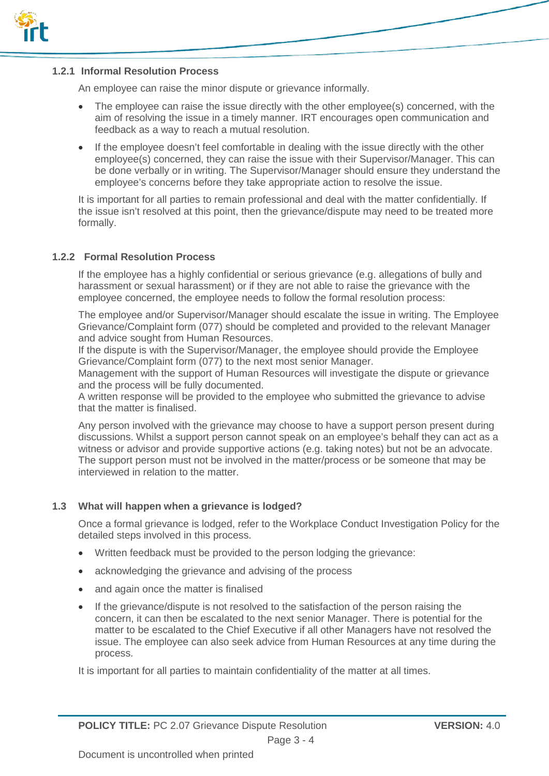

#### **1.2.1 Informal Resolution Process**

An employee can raise the minor dispute or grievance informally.

- The employee can raise the issue directly with the other employee(s) concerned, with the aim of resolving the issue in a timely manner. IRT encourages open communication and feedback as a way to reach a mutual resolution.
- If the employee doesn't feel comfortable in dealing with the issue directly with the other employee(s) concerned, they can raise the issue with their Supervisor/Manager. This can be done verbally or in writing. The Supervisor/Manager should ensure they understand the employee's concerns before they take appropriate action to resolve the issue.

It is important for all parties to remain professional and deal with the matter confidentially. If the issue isn't resolved at this point, then the grievance/dispute may need to be treated more formally.

#### **1.2.2 Formal Resolution Process**

If the employee has a highly confidential or serious grievance (e.g. allegations of bully and harassment or sexual harassment) or if they are not able to raise the grievance with the employee concerned, the employee needs to follow the formal resolution process:

The employee and/or Supervisor/Manager should escalate the issue in writing. The Employee Grievance/Complaint form (077) should be completed and provided to the relevant Manager and advice sought from Human Resources.

If the dispute is with the Supervisor/Manager, the employee should provide the Employee Grievance/Complaint form (077) to the next most senior Manager.

Management with the support of Human Resources will investigate the dispute or grievance and the process will be fully documented.

A written response will be provided to the employee who submitted the grievance to advise that the matter is finalised.

Any person involved with the grievance may choose to have a support person present during discussions. Whilst a support person cannot speak on an employee's behalf they can act as a witness or advisor and provide supportive actions (e.g. taking notes) but not be an advocate. The support person must not be involved in the matter/process or be someone that may be interviewed in relation to the matter.

#### **1.3 What will happen when a grievance is lodged?**

Once a formal grievance is lodged, refer to the Workplace Conduct Investigation Policy for the detailed steps involved in this process.

- Written feedback must be provided to the person lodging the grievance:
- acknowledging the grievance and advising of the process
- and again once the matter is finalised
- If the grievance/dispute is not resolved to the satisfaction of the person raising the concern, it can then be escalated to the next senior Manager. There is potential for the matter to be escalated to the Chief Executive if all other Managers have not resolved the issue. The employee can also seek advice from Human Resources at any time during the process.

It is important for all parties to maintain confidentiality of the matter at all times.